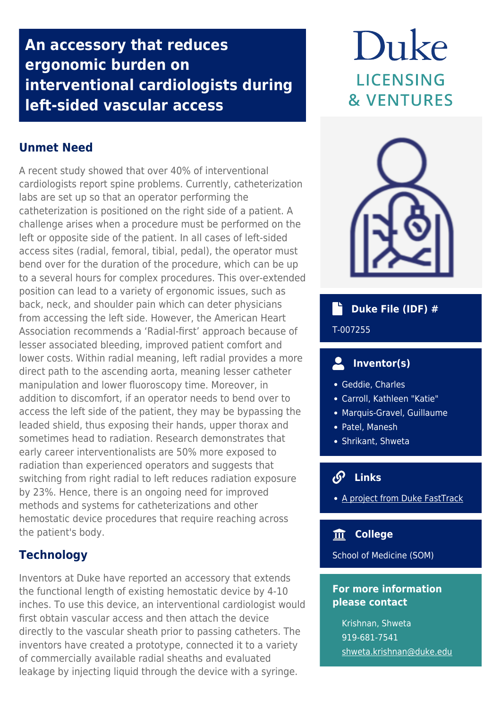# **An accessory that reduces ergonomic burden on interventional cardiologists during left-sided vascular access**

## **Unmet Need**

A recent study showed that over 40% of interventional cardiologists report spine problems. Currently, catheterization labs are set up so that an operator performing the catheterization is positioned on the right side of a patient. A challenge arises when a procedure must be performed on the left or opposite side of the patient. In all cases of left-sided access sites (radial, femoral, tibial, pedal), the operator must bend over for the duration of the procedure, which can be up to a several hours for complex procedures. This over-extended position can lead to a variety of ergonomic issues, such as back, neck, and shoulder pain which can deter physicians from accessing the left side. However, the American Heart Association recommends a 'Radial-first' approach because of lesser associated bleeding, improved patient comfort and lower costs. Within radial meaning, left radial provides a more direct path to the ascending aorta, meaning lesser catheter manipulation and lower fluoroscopy time. Moreover, in addition to discomfort, if an operator needs to bend over to access the left side of the patient, they may be bypassing the leaded shield, thus exposing their hands, upper thorax and sometimes head to radiation. Research demonstrates that early career interventionalists are 50% more exposed to radiation than experienced operators and suggests that switching from right radial to left reduces radiation exposure by 23%. Hence, there is an ongoing need for improved methods and systems for catheterizations and other hemostatic device procedures that require reaching across the patient's body.

## **Technology**

Inventors at Duke have reported an accessory that extends the functional length of existing hemostatic device by 4-10 inches. To use this device, an interventional cardiologist would first obtain vascular access and then attach the device directly to the vascular sheath prior to passing catheters. The inventors have created a prototype, connected it to a variety of commercially available radial sheaths and evaluated leakage by injecting liquid through the device with a syringe.

# Duke **LICENSING & VENTURES**



#### **Duke File (IDF) #** F.

### T-007255

#### $\overline{\bullet}$  **Inventor(s)**

- Geddie, Charles
- Carroll, Kathleen "Katie"
- Marquis-Gravel, Guillaume
- Patel, Manesh
- Shrikant, Shweta

# **Links**

• [A project from Duke FastTrack](https://sites.duke.edu/fasttrack/our-project-new/)

## **College**

School of Medicine (SOM)

## **For more information please contact**

Krishnan, Shweta 919-681-7541 [shweta.krishnan@duke.edu](mailto:shweta.krishnan@duke.edu)